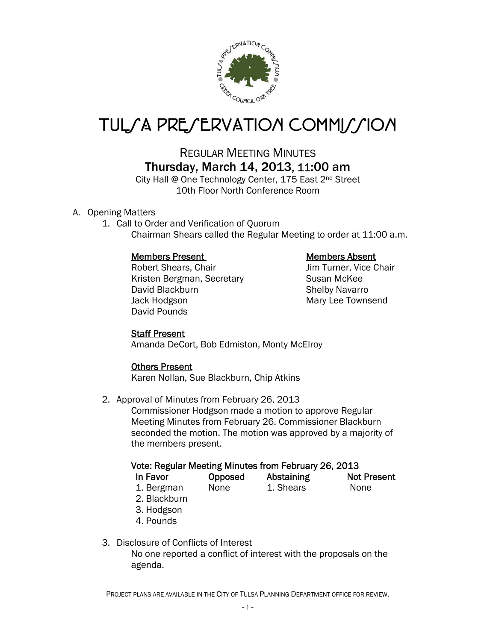

# TUL*SA PRESERVATION COMMISSION*

## REGULAR MEETING MINUTES Thursday, March 14, 2013, 11:00 am

City Hall @ One Technology Center, 175 East 2<sup>nd</sup> Street 10th Floor North Conference Room

### A. Opening Matters

1. Call to Order and Verification of Quorum Chairman Shears called the Regular Meeting to order at 11:00 a.m.

### Members Present Members Absent

Robert Shears, Chair **In Turner**, Vice Chair Jim Turner, Vice Chair Kristen Bergman, Secretary **Susan McKee** David Blackburn Shelby Navarro Jack Hodgson **Mary Lee Townsend** David Pounds

### Staff Present

Amanda DeCort, Bob Edmiston, Monty McElroy

### Others Present

Karen Nollan, Sue Blackburn, Chip Atkins

2. Approval of Minutes from February 26, 2013

Commissioner Hodgson made a motion to approve Regular Meeting Minutes from February 26. Commissioner Blackburn seconded the motion. The motion was approved by a majority of the members present.

### Vote: Regular Meeting Minutes from February 26, 2013

| In Favor   | <b>Opposed</b> | <b>Abstaining</b> | <b>Not Present</b> |
|------------|----------------|-------------------|--------------------|
| 1. Bergman | None           | 1. Shears         | None               |

- 2. Blackburn
- 3. Hodgson
- 4. Pounds
- 3. Disclosure of Conflicts of Interest

 No one reported a conflict of interest with the proposals on the agenda.

PROJECT PLANS ARE AVAILABLE IN THE CITY OF TULSA PLANNING DEPARTMENT OFFICE FOR REVIEW.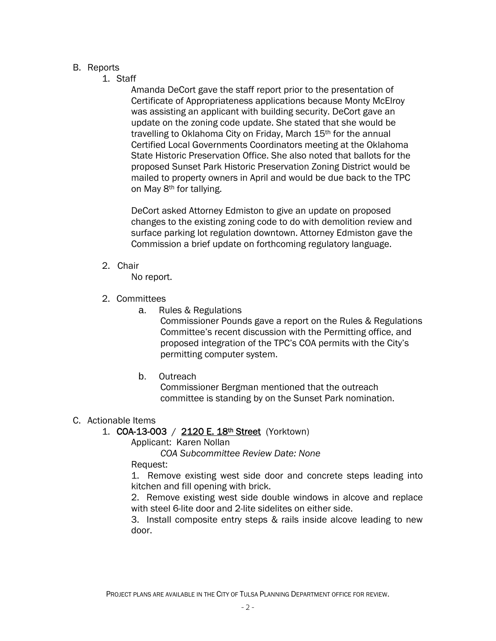#### B. Reports

1. Staff

Amanda DeCort gave the staff report prior to the presentation of Certificate of Appropriateness applications because Monty McElroy was assisting an applicant with building security. DeCort gave an update on the zoning code update. She stated that she would be travelling to Oklahoma City on Friday, March 15<sup>th</sup> for the annual Certified Local Governments Coordinators meeting at the Oklahoma State Historic Preservation Office. She also noted that ballots for the proposed Sunset Park Historic Preservation Zoning District would be mailed to property owners in April and would be due back to the TPC on May 8th for tallying.

DeCort asked Attorney Edmiston to give an update on proposed changes to the existing zoning code to do with demolition review and surface parking lot regulation downtown. Attorney Edmiston gave the Commission a brief update on forthcoming regulatory language.

2. Chair

No report.

- 2. Committees
	- a. Rules & Regulations

Commissioner Pounds gave a report on the Rules & Regulations Committee's recent discussion with the Permitting office, and proposed integration of the TPC's COA permits with the City's permitting computer system.

b. Outreach

 Commissioner Bergman mentioned that the outreach committee is standing by on the Sunset Park nomination.

### C. Actionable Items

#### 1. COA-13-003 / 2120 E. 18th Street (Yorktown)

Applicant: Karen Nollan

 *COA Subcommittee Review Date: None* 

Request:

1. Remove existing west side door and concrete steps leading into kitchen and fill opening with brick.

2. Remove existing west side double windows in alcove and replace with steel 6-lite door and 2-lite sidelites on either side.

3. Install composite entry steps & rails inside alcove leading to new door.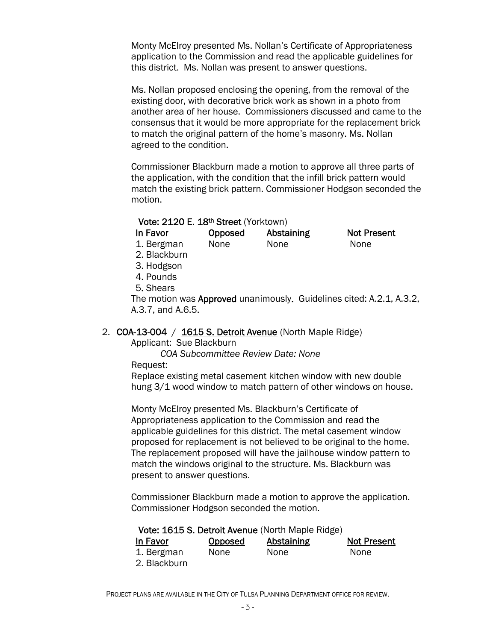Monty McElroy presented Ms. Nollan's Certificate of Appropriateness application to the Commission and read the applicable guidelines for this district. Ms. Nollan was present to answer questions.

Ms. Nollan proposed enclosing the opening, from the removal of the existing door, with decorative brick work as shown in a photo from another area of her house. Commissioners discussed and came to the consensus that it would be more appropriate for the replacement brick to match the original pattern of the home's masonry. Ms. Nollan agreed to the condition.

Commissioner Blackburn made a motion to approve all three parts of the application, with the condition that the infill brick pattern would match the existing brick pattern. Commissioner Hodgson seconded the motion.

#### Vote: 2120 E. 18th Street (Yorktown)

| In Favor     | <b>Opposed</b> | <b>Abstaining</b> | <b>Not Present</b> |
|--------------|----------------|-------------------|--------------------|
| 1. Bergman   | <b>None</b>    | <b>None</b>       | <b>None</b>        |
| 2. Blackburn |                |                   |                    |

- 3. Hodgson
- 4. Pounds
- 5. Shears

The motion was Approved unanimously. Guidelines cited: A.2.1, A.3.2, A.3.7, and A.6.5.

#### 2. COA-13-004 / 1615 S. Detroit Avenue (North Maple Ridge)

Applicant: Sue Blackburn

 *COA Subcommittee Review Date: None* 

Request:

Replace existing metal casement kitchen window with new double hung 3/1 wood window to match pattern of other windows on house.

Monty McElroy presented Ms. Blackburn's Certificate of Appropriateness application to the Commission and read the applicable guidelines for this district. The metal casement window proposed for replacement is not believed to be original to the home. The replacement proposed will have the jailhouse window pattern to match the windows original to the structure. Ms. Blackburn was present to answer questions.

Commissioner Blackburn made a motion to approve the application. Commissioner Hodgson seconded the motion.

| Vote: 1615 S. Detroit Avenue (North Maple Ridge) |         |            |                    |  |  |  |
|--------------------------------------------------|---------|------------|--------------------|--|--|--|
| In Favor                                         | Opposed | Abstaining | <b>Not Present</b> |  |  |  |
| 1. Bergman                                       | None    | None       | <b>None</b>        |  |  |  |
| 2. Blackburn                                     |         |            |                    |  |  |  |

PROJECT PLANS ARE AVAILABLE IN THE CITY OF TULSA PLANNING DEPARTMENT OFFICE FOR REVIEW.